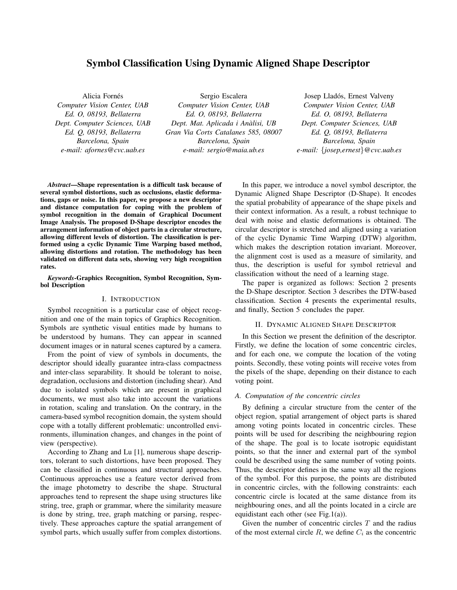# Symbol Classification Using Dynamic Aligned Shape Descriptor

Alicia Fornés *Computer Vision Center, UAB Ed. O, 08193, Bellaterra Dept. Computer Sciences, UAB Ed. Q, 08193, Bellaterra Barcelona, Spain e-mail: afornes@cvc.uab.es*

Sergio Escalera *Computer Vision Center, UAB Ed. O, 08193, Bellaterra Dept. Mat. Aplicada i Analisi, UB ` Gran Via Corts Catalanes 585, 08007 Barcelona, Spain e-mail: sergio@maia.ub.es*

Josep Lladós, Ernest Valveny *Computer Vision Center, UAB Ed. O, 08193, Bellaterra Dept. Computer Sciences, UAB Ed. Q, 08193, Bellaterra Barcelona, Spain e-mail:* {*josep,ernest*}*@cvc.uab.es*

*Abstract*—Shape representation is a difficult task because of several symbol distortions, such as occlusions, elastic deformations, gaps or noise. In this paper, we propose a new descriptor and distance computation for coping with the problem of symbol recognition in the domain of Graphical Document Image Analysis. The proposed D-Shape descriptor encodes the arrangement information of object parts in a circular structure, allowing different levels of distortion. The classification is performed using a cyclic Dynamic Time Warping based method, allowing distortions and rotation. The methodology has been validated on different data sets, showing very high recognition rates.

# *Keywords*-Graphics Recognition, Symbol Recognition, Symbol Description

## I. INTRODUCTION

Symbol recognition is a particular case of object recognition and one of the main topics of Graphics Recognition. Symbols are synthetic visual entities made by humans to be understood by humans. They can appear in scanned document images or in natural scenes captured by a camera.

From the point of view of symbols in documents, the descriptor should ideally guarantee intra-class compactness and inter-class separability. It should be tolerant to noise, degradation, occlusions and distortion (including shear). And due to isolated symbols which are present in graphical documents, we must also take into account the variations in rotation, scaling and translation. On the contrary, in the camera-based symbol recognition domain, the system should cope with a totally different problematic: uncontrolled environments, illumination changes, and changes in the point of view (perspective).

According to Zhang and Lu [1], numerous shape descriptors, tolerant to such distortions, have been proposed. They can be classified in continuous and structural approaches. Continuous approaches use a feature vector derived from the image photometry to describe the shape. Structural approaches tend to represent the shape using structures like string, tree, graph or grammar, where the similarity measure is done by string, tree, graph matching or parsing, respectively. These approaches capture the spatial arrangement of symbol parts, which usually suffer from complex distortions.

In this paper, we introduce a novel symbol descriptor, the Dynamic Aligned Shape Descriptor (D-Shape). It encodes the spatial probability of appearance of the shape pixels and their context information. As a result, a robust technique to deal with noise and elastic deformations is obtained. The circular descriptor is stretched and aligned using a variation of the cyclic Dynamic Time Warping (DTW) algorithm, which makes the description rotation invariant. Moreover, the alignment cost is used as a measure of similarity, and thus, the description is useful for symbol retrieval and classification without the need of a learning stage.

The paper is organized as follows: Section 2 presents the D-Shape descriptor. Section 3 describes the DTW-based classification. Section 4 presents the experimental results, and finally, Section 5 concludes the paper.

# II. DYNAMIC ALIGNED SHAPE DESCRIPTOR

In this Section we present the definition of the descriptor. Firstly, we define the location of some concentric circles, and for each one, we compute the location of the voting points. Secondly, these voting points will receive votes from the pixels of the shape, depending on their distance to each voting point.

#### *A. Computation of the concentric circles*

By defining a circular structure from the center of the object region, spatial arrangement of object parts is shared among voting points located in concentric circles. These points will be used for describing the neighbouring region of the shape. The goal is to locate isotropic equidistant points, so that the inner and external part of the symbol could be described using the same number of voting points. Thus, the descriptor defines in the same way all the regions of the symbol. For this purpose, the points are distributed in concentric circles, with the following constraints: each concentric circle is located at the same distance from its neighbouring ones, and all the points located in a circle are equidistant each other (see Fig.1(a)).

Given the number of concentric circles  $T$  and the radius of the most external circle  $R$ , we define  $C_i$  as the concentric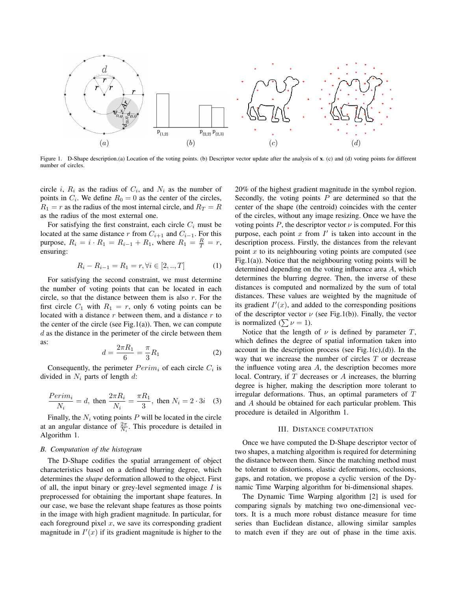

Figure 1. D-Shape description.(a) Location of the voting points. (b) Descriptor vector update after the analysis of x. (c) and (d) voting points for different number of circles.

circle i,  $R_i$  as the radius of  $C_i$ , and  $N_i$  as the number of points in  $C_i$ . We define  $R_0 = 0$  as the center of the circles,  $R_1 = r$  as the radius of the most internal circle, and  $R_T = R$ as the radius of the most external one.

For satisfying the first constraint, each circle  $C_i$  must be located at the same distance r from  $C_{i+1}$  and  $C_{i-1}$ . For this purpose,  $R_i = i \cdot R_1 = R_{i-1} + R_1$ , where  $R_1 = \frac{R}{T} = r$ , ensuring:

$$
R_i - R_{i-1} = R_1 = r, \forall i \in [2, ..., T]
$$
 (1)

For satisfying the second constraint, we must determine the number of voting points that can be located in each circle, so that the distance between them is also  $r$ . For the first circle  $C_1$  with  $R_1 = r$ , only 6 voting points can be located with a distance  $r$  between them, and a distance  $r$  to the center of the circle (see Fig.1(a)). Then, we can compute  $d$  as the distance in the perimeter of the circle between them as:

$$
d = \frac{2\pi R_1}{6} = \frac{\pi}{3} R_1 \tag{2}
$$

Consequently, the perimeter  $Perim_i$  of each circle  $C_i$  is divided in  $N_i$  parts of length d:

$$
\frac{Perim_i}{N_i} = d, \text{ then } \frac{2\pi R_i}{N_i} = \frac{\pi R_1}{3}, \text{ then } N_i = 2 \cdot 3i \quad (3)
$$

Finally, the  $N_i$  voting points  $P$  will be located in the circle at an angular distance of  $\frac{2\pi}{N_i}$ . This procedure is detailed in Algorithm 1.

# *B. Computation of the histogram*

The D-Shape codifies the spatial arrangement of object characteristics based on a defined blurring degree, which determines the *shape* deformation allowed to the object. First of all, the input binary or grey-level segmented image  $I$  is preprocessed for obtaining the important shape features. In our case, we base the relevant shape features as those points in the image with high gradient magnitude. In particular, for each foreground pixel  $x$ , we save its corresponding gradient magnitude in  $I'(x)$  if its gradient magnitude is higher to the

20% of the highest gradient magnitude in the symbol region. Secondly, the voting points  $P$  are determined so that the center of the shape (the centroid) coincides with the center of the circles, without any image resizing. Once we have the voting points  $P$ , the descriptor vector  $\nu$  is computed. For this purpose, each point  $x$  from  $I'$  is taken into account in the description process. Firstly, the distances from the relevant point  $x$  to its neighbouring voting points are computed (see Fig.1(a)). Notice that the neighbouring voting points will be determined depending on the voting influence area A, which determines the blurring degree. Then, the inverse of these distances is computed and normalized by the sum of total distances. These values are weighted by the magnitude of its gradient  $I'(x)$ , and added to the corresponding positions of the descriptor vector  $\nu$  (see Fig.1(b)). Finally, the vector is normalized ( $\sum \nu = 1$ ).

Notice that the length of  $\nu$  is defined by parameter  $T$ , which defines the degree of spatial information taken into account in the description process (see Fig.1(c),(d)). In the way that we increase the number of circles  $T$  or decrease the influence voting area  $A$ , the description becomes more local. Contrary, if  $T$  decreases or  $A$  increases, the blurring degree is higher, making the description more tolerant to irregular deformations. Thus, an optimal parameters of T and A should be obtained for each particular problem. This procedure is detailed in Algorithm 1.

#### III. DISTANCE COMPUTATION

Once we have computed the D-Shape descriptor vector of two shapes, a matching algorithm is required for determining the distance between them. Since the matching method must be tolerant to distortions, elastic deformations, occlusions, gaps, and rotation, we propose a cyclic version of the Dynamic Time Warping algorithm for bi-dimensional shapes.

The Dynamic Time Warping algorithm [2] is used for comparing signals by matching two one-dimensional vectors. It is a much more robust distance measure for time series than Euclidean distance, allowing similar samples to match even if they are out of phase in the time axis.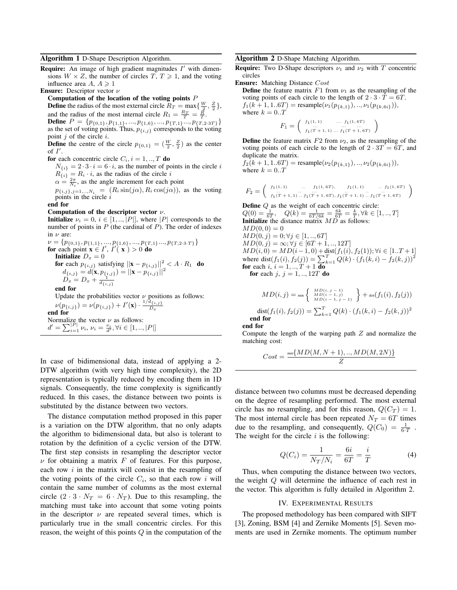Algorithm 1 D-Shape Description Algorithm.

**Require:** An image of high gradient magnitudes  $I'$  with dimensions  $W \times Z$ , the number of circles  $T, T \geq 1$ , and the voting influence area  $A, A \geq 1$ 

**Ensure:** Descriptor vector  $\nu$ 

Computation of the location of the voting points  $P$ 

**Define** the radius of the most external circle  $\overline{R}_T = \max\{\frac{W}{2}, \frac{Z}{2}\},\$ and the radius of the most internal circle  $R_1 = \frac{R_T}{T} = \frac{\overline{R}}{T}$ .

**Define**  $P = \{p_{\{0,1\}}, p_{\{1,1\}}, \ldots, p_{\{1,6\}}, \ldots, p_{\{T,1\}} \ldots, p_{\{T,2\cdot3T\}}\}$ as the set of voting points. Thus,  $p_{\{i,j\}}$  corresponds to the voting point  $j$  of the circle  $i$ .

**Define** the centre of the circle  $p_{\{0,1\}} = (\frac{W}{2}, \frac{Z}{2})$  as the center of  $I'$ .

for each concentric circle  $C_i$ ,  $i = 1, ..., T$  do

 $N_{\{i\}} = 2 \cdot 3 \cdot i = 6 \cdot i$ , as the number of points in the circle i  $R_{\{i\}} = R_i \cdot i$ , as the radius of the circle i

 $\alpha = \frac{2\pi}{N_i}$ , as the angle increment for each point

 $p_{\{i,j\},j=1,..,N_i} = (R_i \sin(j\alpha), R_i \cos(j\alpha))$ , as the voting points in the circle i

end for

#### Computation of the descriptor vector  $\nu$ .

**Initialize**  $\nu_i = 0, i \in [1, ..., |P|]$ , where |P| corresponds to the number of points in  $P$  (the cardinal of  $P$ ). The order of indexes in  $\nu$  are:

 $\nu = \{p_{\{0,1\}}, p_{\{1,1\}}, \ldots, p_{\{1,6\}}, \ldots, p_{\{T,1\}} \ldots, p_{\{T,2\cdot3\cdot T\}}\}$ for each point  $\mathbf{x} \in I'$ ,  $I'(\mathbf{x}) > 0$  do Initialize  $D_x = 0$ for each  $p_{\{i,j\}}$  satisfying  $||\mathbf{x} - p_{\{i,j\}}||^2 < A \cdot R_1$  do  $d_{\{i,j\}} = \tilde{d}(\mathbf{x}, p_{\{i,j\}}) = ||\mathbf{x} - p_{\{i,j\}}||^2$  $D_x = D_x + \frac{1}{d_{\{i,j\}}}$ end for

Update the probabilities vector  $\nu$  positions as follows:  $\nu(p_{\{i,j\}}) = \nu(p_{\{i,j\}}) + I'(\mathbf{x}) \cdot \frac{1/\overline{d}_{\{i,j\}}}{D_x}$  $D_x$ end for Normalize the vector  $\nu$  as follows:  $d' = \sum_{i=1}^{|P|} \nu_i, \, \nu_i = \frac{\nu_i}{d'}, \forall i \in [1, ..., |P|]$ 

In case of bidimensional data, instead of applying a 2- DTW algorithm (with very high time complexity), the 2D representation is typically reduced by encoding them in 1D signals. Consequently, the time complexity is significantly reduced. In this cases, the distance between two points is substituted by the distance between two vectors.

The distance computation method proposed in this paper is a variation on the DTW algorithm, that no only adapts the algorithm to bidimensional data, but also is tolerant to rotation by the definition of a cyclic version of the DTW. The first step consists in resampling the descriptor vector  $\nu$  for obtaining a matrix  $F$  of features. For this purpose, each row  $i$  in the matrix will consist in the resampling of the voting points of the circle  $C_i$ , so that each row i will contain the same number of columns as the most external circle  $(2 \cdot 3 \cdot N_T = 6 \cdot N_T)$ . Due to this resampling, the matching must take into account that some voting points in the descriptor  $\nu$  are repeated several times, which is particularly true in the small concentric circles. For this reason, the weight of this points  $Q$  in the computation of the Algorithm 2 D-Shape Matching Algorithm.

**Require:** Two D-Shape descriptors  $\nu_1$  and  $\nu_2$  with T concentric circles

Ensure: Matching Distance Cost

**Define** the feature matrix  $F1$  from  $\nu_1$  as the resampling of the voting points of each circle to the length of  $2 \cdot 3 \cdot T = 6T$ .  $f_1(k + 1, 1..6T) =$  resample $(\nu_1(p_{\{k,1\}}), ..., \nu_1(p_{\{k,6i\}})),$ where  $k = 0..T$ 

> $F_1 = \left( \begin{array}{ccc} f_1(1,1) & \dots & f_1(1,6T) \\ \dots & \dots & \dots \\ f_1(T+1,1) & \dots & f_1(T+1,6T) \end{array} \right)$  $\setminus$

**Define** the feature matrix  $F2$  from  $\nu_2$ , as the resampling of the voting points of each circle to the length of  $2 \cdot 3T = 6T$ , and duplicate the matrix.

 $f_2(k+1, 1..6T) =$  resample $(\nu_2(p_{\{k,1\}}), ..., \nu_2(p_{\{k,6i\}})),$ where  $k = 0..T$ 

$$
F_2 = \left( \begin{array}{cccc} f_1(1,1) & \dots & f_1(1,6T), & f_1(1,1) & \dots & f_1(1,6T) \\ \dots & \dots & \dots & \dots \\ f_1(T+1,1) & \dots & f_1(T+1,6T), & f_1(T+1,1) & \dots & f_1(T+1,6T) \end{array} \right)
$$

**Define**  $Q$  as the weight of each concentric circle:  $Q(0) = \frac{1}{6T}, \quad Q(k) = \frac{1}{6T/6k} = \frac{6k}{6T} = \frac{k}{T}, \forall k \in [1, ..., T]$ **Initialize** the distance matrix  $MD$  as follows:  $MD(0, 0) = 0$  $MD(0, i) = 0; \forall i \in [1, ..., 6T]$  $MD(0, j) = \infty; \forall j \in [6T + 1, ..., 12T]$  $MD(i, 0) = MD(i-1, 0) + dist(f_1(i), f_2(1)); \forall i \in [1..T+1]$ where dist( $f_1(i), f_2(j)$ ) =  $\sum_{k=1}^{T} Q(k) \cdot (f_1(k, i) - f_2(k, j))^2$ <br>for each  $i, i = 1, ..., T + 1$  do

**for** each  $j, j = 1, ..., 12T$  **do** 

$$
MD(i, j) = \min \left\{ \begin{array}{c} \substack{MD(i, j-1) \\ MD(i-1, j)} \\ MD(i-1, j-1) \end{array} \right\} + \text{dist}(f_1(i), f_2(j))
$$
  
dist $(f_1(i), f_2(j)) = \sum_{k=1}^{T} Q(k) \cdot (f_1(k, i) - f_2(k, j))^2$   
end for

end for

Compute the length of the warping path  $Z$  and normalize the matching cost:

$$
Cost=\frac{\min\{MD(M,N+1),..,MD(M,2N)\}}{Z}
$$

distance between two columns must be decreased depending on the degree of resampling performed. The most external circle has no resampling, and for this reason,  $Q(C_T) = 1$ . The most internal circle has been repeated  $N_T = 6T$  times due to the resampling, and consequently,  $Q(C_0) = \frac{1}{6 \cdot T}$ . The weight for the circle  $i$  is the following:

$$
Q(C_i) = \frac{1}{N_T/N_i} = \frac{6i}{6T} = \frac{i}{T}
$$
 (4)

Thus, when computing the distance between two vectors, the weight Q will determine the influence of each rest in the vector. This algorithm is fully detailed in Algorithm 2.

## IV. EXPERIMENTAL RESULTS

The proposed methodology has been compared with SIFT [3], Zoning, BSM [4] and Zernike Moments [5]. Seven moments are used in Zernike moments. The optimum number